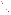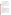# **Consumer Factsheet on: DICHLOROMETHANE**

### [List of Contaminants](http://www.epa.gov/safewater/hfacts.html)

 As part of the Drinking Water and Health pages, this fact sheet is part of a larger publication: **National Primary Drinking Water Regulations** 

 States Environmental Protection Agency (EPA). This is a factsheet about a chemical that may be found in some public or private drinking water supplies. It may cause health problems if found in amounts greater than the health standard set by the United

#### **What is DCM and how is it used?**

Dichloromethane (DCM) is a colorless organic liquid with a sweet, chloroform-like odor. The greatest use of DCM is as a paint remover. Other uses include: solvent and cleaning agent in a variety of industries, a fumigant for strawberries and grains; and to extract substances from foodstuffs.

 The list of synonyms given below may help you find out whether you are using this chemical at home or work.

#### **Trade Names and Synonyms:**

DCM Methylene chloride

#### **Why is DCM being Regulated?**

 chemicals in drinking water which do or may cause health problems. These non-enforceable levels, based solely on possible health risks and exposure, are called Maximum Contaminant Level Goals. In 1974, Congress passed the Safe Drinking Water Act. This law requires EPA to determine safe levels of

The MCLG for dichloromethane has been set at zero because EPA believes this level of protection would not cause any of the potential health problems described below.

 Based on this MCLG, EPA has set an enforceable standard called a Maximum Contaminant Level (MCL). MCLs are set as close to the MCLGs as possible, considering the ability of public water systems to detect and remove contaminants using suitable treatment technologies.

 contaminant should it occur in drinking water. The MCL has been set at 5 parts per billion (ppb) because EPA believes, given present technology and resources, this is the lowest level to which water systems can reasonably be required to remove this

These drinking water standards and the regulations for ensuring these standards are met, are called National Primary Drinking Water Regulations. All public water supplies must abide by these regulations.

#### **What are the Health Effects?**

Short-term: EPA has found dichloromethane to potentially cause the following health effects when people are exposed to it at levels above the MCL for relatively short periods of time: Damage to the nervous system and to blood.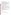levels above the MCL: liver damage; cancer. Long-term: Dichloromethane has the potential to cause the following effects from a lifetime exposure at

#### **How much DCM is produced and released to the environment?**

 metal foundries and laundries. DCM is also formed during the chlorination of water. Production of DCM has been decreasing: from a high of 561 million lbs. in 1986, to roughly 410 million lbs. in 1993. It is released in wastewater primarily from the following industries: Paint and ink, aluminum forming, coal mining, photographic equipment and supplies, pharmaceutical, organic chemical/plastics,

 water totalled over 2.1 million lbs. These releases were primarily from medicinals and botanicals From 1987 to 1993, according to EPA's Toxic Chemical Release Inventory, DCM releases to land and industries. The largest releases occurred in Connecticut and New York.

#### **What happens to DCM when it is released to the environment?**

Most DCM is released to air where it is degraded by sunlight within a few months. Releases to water evaporate very quickly. It will evaporate from soil but can also leach through soil to ground water. DCM is not likely to accumulate in aquatic life.

#### **How will DCM be Detected in and Removed from My Drinking Water?**

 dichloromethane is present above 0.5 ppb. If it is present above this level, the system must continue to monitor this contaminant. The regulation for dichloromethane became effective in 1994. Between 1993 and 1995, EPA required your water supplier to collect water samples every 3 months for one year and analyze them to find out if

 reduce the amount of dichloromethane so that it is consistently below that level. The following treatment combination with Packed Tower Aeration. If contaminant levels are found to be consistently above the MCL, your water supplier must take steps to methods have been approved by EPA for removing dichloromethane: Granular activated charcoal in

#### **How will I know if DCM is in my drinking water?**

 If the levels of dichloromethane exceed the MCL, 5 ppb, the system must notify the public via newspapers, radio, TV and other means. Additional actions, such as providing alternative drinking water supplies, may be required to prevent serious risks to public health.

## **Drinking Water Standards:**

Mclg: zero<br>Mcl: 5 ppb

Mcl: 5 ppb

# **DCM Releases to Water and Land, 1987 to 1993 (in pounds):**

| <b>TOTALS (in pounds)</b><br>Top Ten States* | Water<br>1,544,694 |         | Land<br>556,830 |
|----------------------------------------------|--------------------|---------|-----------------|
| СT                                           | 940,158            | 0       |                 |
| <b>NY</b>                                    | 58,400             | 155,755 |                 |
| GA                                           | 166,700            | 0       |                 |
| <b>NJ</b>                                    | 138.302            | 2.721   |                 |
| WI                                           | 0                  | 139,920 |                 |